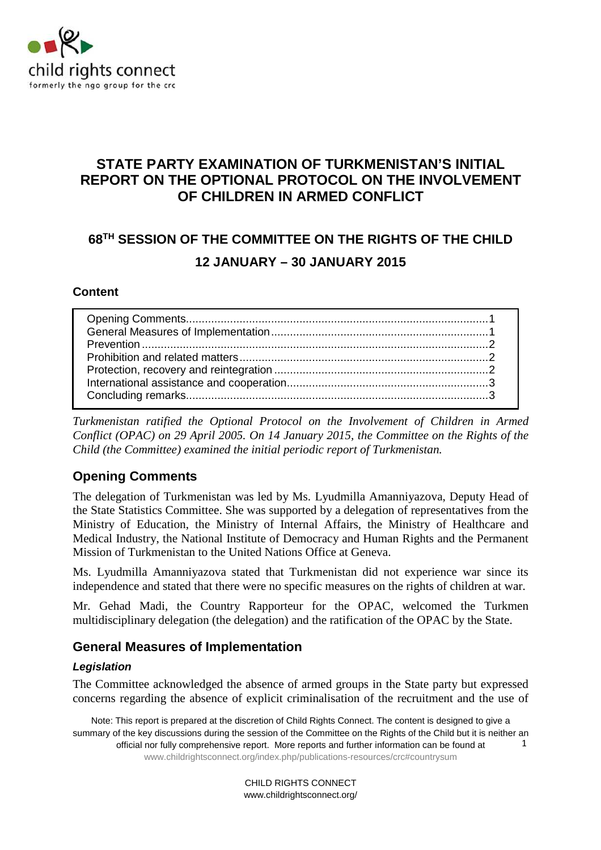

# **STATE PARTY EXAMINATION OF TURKMENISTAN'S INITIAL REPORT ON THE OPTIONAL PROTOCOL ON THE INVOLVEMENT OF CHILDREN IN ARMED CONFLICT**

# **68TH SESSION OF THE COMMITTEE ON THE RIGHTS OF THE CHILD 12 JANUARY – 30 JANUARY 2015**

#### **Content**

*Turkmenistan ratified the Optional Protocol on the Involvement of Children in Armed Conflict (OPAC) on 29 April 2005. On 14 January 2015, the Committee on the Rights of the Child (the Committee) examined the initial periodic report of Turkmenistan.* 

# **Opening Comments**

The delegation of Turkmenistan was led by Ms. Lyudmilla Amanniyazova, Deputy Head of the State Statistics Committee. She was supported by a delegation of representatives from the Ministry of Education, the Ministry of Internal Affairs, the Ministry of Healthcare and Medical Industry, the National Institute of Democracy and Human Rights and the Permanent Mission of Turkmenistan to the United Nations Office at Geneva.

Ms. Lyudmilla Amanniyazova stated that Turkmenistan did not experience war since its independence and stated that there were no specific measures on the rights of children at war.

Mr. Gehad Madi, the Country Rapporteur for the OPAC, welcomed the Turkmen multidisciplinary delegation (the delegation) and the ratification of the OPAC by the State.

## **General Measures of Implementation**

#### **Legislation**

The Committee acknowledged the absence of armed groups in the State party but expressed concerns regarding the absence of explicit criminalisation of the recruitment and the use of

Note: This report is prepared at the discretion of Child Rights Connect. The content is designed to give a summary of the key discussions during the session of the Committee on the Rights of the Child but it is neither an official nor fully comprehensive report. More reports and further information can be found at www.childrightsconnect.org/index.php/publications-resources/crc#countrysum 1

> CHILD RIGHTS CONNECT www.childrightsconnect.org/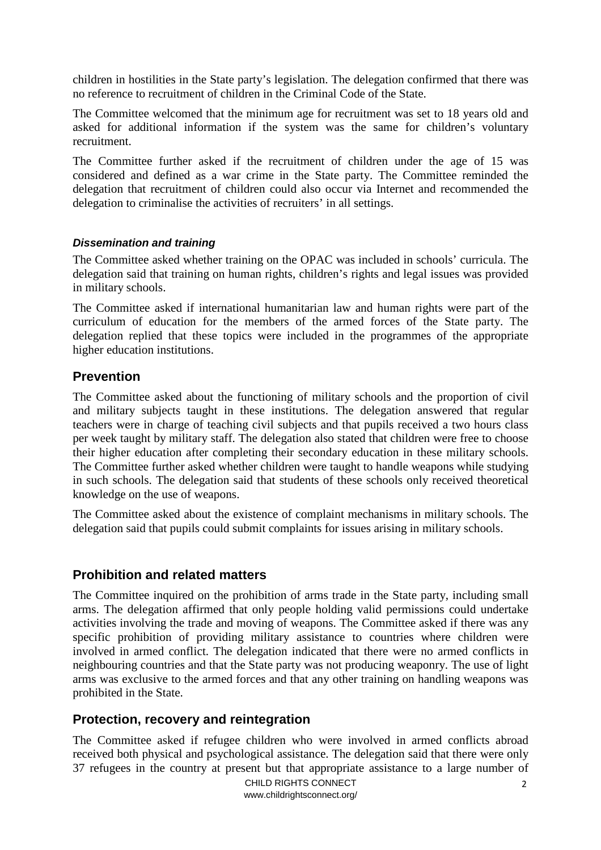children in hostilities in the State party's legislation. The delegation confirmed that there was no reference to recruitment of children in the Criminal Code of the State.

The Committee welcomed that the minimum age for recruitment was set to 18 years old and asked for additional information if the system was the same for children's voluntary recruitment.

The Committee further asked if the recruitment of children under the age of 15 was considered and defined as a war crime in the State party. The Committee reminded the delegation that recruitment of children could also occur via Internet and recommended the delegation to criminalise the activities of recruiters' in all settings.

#### **Dissemination and training**

The Committee asked whether training on the OPAC was included in schools' curricula. The delegation said that training on human rights, children's rights and legal issues was provided in military schools.

The Committee asked if international humanitarian law and human rights were part of the curriculum of education for the members of the armed forces of the State party. The delegation replied that these topics were included in the programmes of the appropriate higher education institutions.

#### **Prevention**

The Committee asked about the functioning of military schools and the proportion of civil and military subjects taught in these institutions. The delegation answered that regular teachers were in charge of teaching civil subjects and that pupils received a two hours class per week taught by military staff. The delegation also stated that children were free to choose their higher education after completing their secondary education in these military schools. The Committee further asked whether children were taught to handle weapons while studying in such schools. The delegation said that students of these schools only received theoretical knowledge on the use of weapons.

The Committee asked about the existence of complaint mechanisms in military schools. The delegation said that pupils could submit complaints for issues arising in military schools.

#### **Prohibition and related matters**

The Committee inquired on the prohibition of arms trade in the State party, including small arms. The delegation affirmed that only people holding valid permissions could undertake activities involving the trade and moving of weapons. The Committee asked if there was any specific prohibition of providing military assistance to countries where children were involved in armed conflict. The delegation indicated that there were no armed conflicts in neighbouring countries and that the State party was not producing weaponry. The use of light arms was exclusive to the armed forces and that any other training on handling weapons was prohibited in the State.

## **Protection, recovery and reintegration**

The Committee asked if refugee children who were involved in armed conflicts abroad received both physical and psychological assistance. The delegation said that there were only 37 refugees in the country at present but that appropriate assistance to a large number of